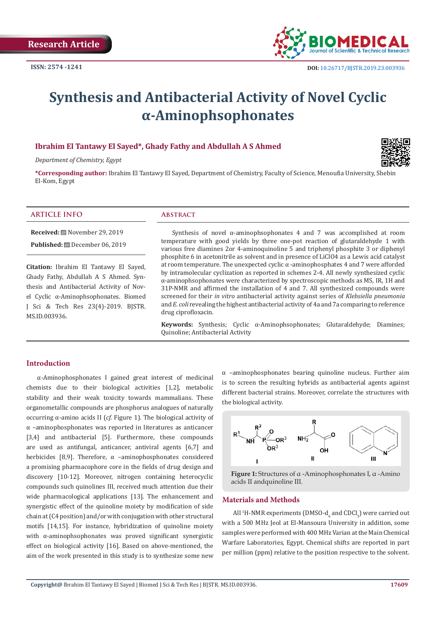

# **Synthesis and Antibacterial Activity of Novel Cyclic α-Aminophsophonates**

# **Ibrahim El Tantawy El Sayed\*, Ghady Fathy and Abdullah A S Ahmed**

*Department of Chemistry, Egypt* 

**\*Corresponding author:** Ibrahim El Tantawy El Sayed, Department of Chemistry, Faculty of Science, Menoufia University, Shebin El-Kom, Egypt

#### **ARTICLE INFO Abstract**

**Received:** November 29, 2019

**Published:** December 06, 2019

**Citation:** Ibrahim El Tantawy El Sayed, Ghady Fathy, Abdullah A S Ahmed. Synthesis and Antibacterial Activity of Novel Cyclic α-Aminophsophonates. Biomed J Sci & Tech Res 23(4)-2019. BJSTR. MS.ID.003936.

Synthesis of novel  $\alpha$ -aminophsophonates 4 and 7 was accomplished at room temperature with good yields by three one-pot reaction of glutaraldehyde 1 with various free diamines 2or 4-aminoquinoline 5 and triphenyl phosphite 3 or diphenyl phosphite 6 in acetonitrile as solvent and in presence of LiClO4 as a Lewis acid catalyst at room temperature. The unexpected cyclic α -aminophosphates 4 and 7 were afforded by intramolecular cyclization as reported in schemes 2-4. All newly synthesized cyclic α-aminophsophonates were characterized by spectroscopic methods as MS, IR, 1H and 31P-NMR and affirmed the installation of 4 and 7. All synthesized compounds were screened for their *in vitro* antibacterial activity against series of *Klebsiella pneumonia* and *E. coli* revealing the highest antibacterial activity of 4a and 7a comparing to reference drug ciprofloxacin.

**Keywords:** Synthesis; Cyclic α-Aminophsophonates; Glutaraldehyde; Diamines; Quinoline; Antibacterial Activity

#### **Introduction**

α-Aminophosphonates I gained great interest of medicinal chemists due to their biological activities [1,2], metabolic stability and their weak toxicity towards mammalians. These organometallic compounds are phosphorus analogues of naturally occurring α-amino acids II (*cf*. Figure 1). The biological activity of α –aminophosphonates was reported in literatures as anticancer [3,4] and antibacterial [5]. Furthermore, these compounds are used as antifungal, anticancer, antiviral agents [6,7] and herbicides [8,9]. Therefore,  $\alpha$  -aminophosphonates considered a promising pharmacophore core in the fields of drug design and discovery [10-12]. Moreover, nitrogen containing heterocyclic compounds such quinolines III, received much attention due their wide pharmacological applications [13]. The enhancement and synergistic effect of the quinoline moiety by modification of side chain at (C4 position) and/or with conjugation with other structural motifs [14,15]. For instance, hybridization of quinoline moiety with α-aminophsophonates was proved significant synergistic effect on biological activity [16]. Based on above-mentioned, the aim of the work presented in this study is to synthesize some new

 $\alpha$  -aminophosphonates bearing quinoline nucleus. Further aim is to screen the resulting hybrids as antibacterial agents against different bacterial strains. Moreover, correlate the structures with the biological activity.



**Figure 1:** Structures of α -Aminophosphonates I, α -Amino acids II andquinoline III.

#### **Materials and Methods**

All <sup>1</sup>H-NMR experiments (DMSO- $d_6$  and CDCl<sub>3</sub>) were carried out with a 500 MHz Jeol at El-Mansoura University in addition, some samples were performed with 400 MHz Varian at the Main Chemical Warfare Laboratories, Egypt. Chemical shifts are reported in part per million (ppm) relative to the position respective to the solvent.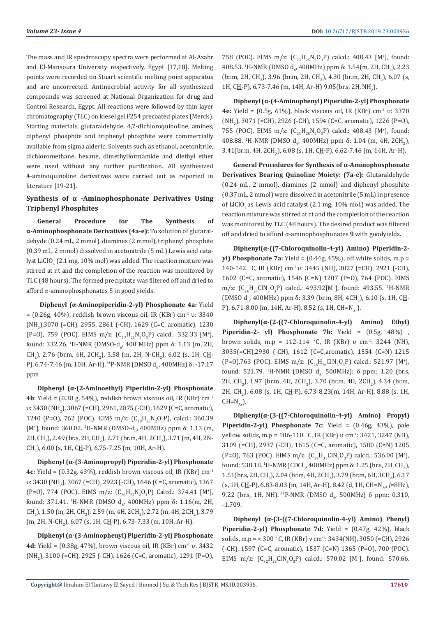The mass and IR spectroscopy spectra were performed at Al-Azahr and El-Mansoura University respectively, Egypt [17,18]. Melting points were recorded on Stuart scientific melting point apparatus and are uncorrected. Antimicrobial activity for all synthesized compounds was screened at National Organization for drug and Control Research, Egypt. All reactions were followed by thin layer chromatography (TLC) on kiesel gel F254 precoated plates (Merck). Starting materials, glutaraldehyde, 4,7-dichloroquinoline, amines, diphenyl phosphite and triphenyl phosphite were commercially available from sigma alderic. Solvents such as ethanol, acetonitrile, dichloromethane, hexane, dimethylformamide and diethyl ether were used without any further purification. All synthesized 4-aminoquinoline derivatives were carried out as reported in literature [19-21].

# **Synthesis of α -Aminophosphonate Derivatives Using Triphenyl Phosphites**

**General Procedure for The Synthesis of α-Aminophosphonate Derivatives (4a-e):** To solution of glutaraldehyde (0.24 mL, 2 mmol), diamines (2 mmol), triphenyl phosphite (0.39 mL, 2 mmol) dissolved in acetonitrile (5 mL) Lewis acid catalyst LiClO $_4$  (2.1 mg, 10% mol) was added. The reaction mixture was stirred at r.t and the completion of the reaction was monitored by TLC (48 hours). The formed precipitate was filtered off and dried to afford α-aminophosphonates 5 in good yields.

**Diphenyl (α-Aminopiperidin-2-yl) Phosphonate 4a:** Yield  $= (0.26g, 40\%)$ , reddish brown viscous oil, IR (KBr) cm<sup>-1</sup> υ: 3340 (NH<sub>2</sub>),3070 (=CH), 2955, 2861 (-CH), 1629 (C=C, aromatic), 1230 (P=O), 759 (POC). EIMS m/z:  $(C_{17}H_{21}N_2O_3P)$  calcd.: 332.33 [M<sup>+</sup>], found: 332.26. <sup>1</sup>H-NMR (DMSO-d<sub>6</sub>, 400 MHz) ppm δ: 1.13 (m, 2H,  $CH_2$ ), 2.76 (br.m, 4H, 2CH<sub>2</sub>), 3.58 (m, 2H, N-CH<sub>2</sub>), 6.02 (s, 1H, C<u>H</u>-P), 6.74-7.46 (m, 10H, Ar-H). <sup>31</sup>P-NMR (DMSO d<sub>6</sub>, 400MHz) δ: -17.17 ppm

**Diphenyl (α-(2-Aminoethyl) Piperidin-2-yl) Phosphonate 4b**: Yield =  $(0.38 \text{ g}, 54\%)$ , reddish brown viscous oil, IR (KBr) cm<sup>-1</sup> υ: 3430 (NH<sub>2</sub>), 3067 (=CH), 2961, 2875 (-CH), 1629 (C=C, aromatic), 1240 (P=O), 762 (POC). EIMS m/z:  $(C_{19}H_{25}N_2O_3P)$ , calcd.: 360.39 [M<sup>+</sup>], found: 360.02. <sup>1</sup>H-NMR (DMSO-d<sub>σ</sub>, 400MHz) ppm δ: 1.13 (m, 2H, CH<sub>2</sub>), 2.49 (br.s, 2H, CH<sub>2</sub>), 2.71 (br.m, 4H, 2CH<sub>2</sub>), 3.71 (m, 4H, 2N-CH<sub>2</sub>), 6.00 (s, 1H, C<u>H</u>-P), 6.75-7.25 (m, 10H, Ar-H).

**Diphenyl (α-(3-Aminopropyl) Piperidin-2-yl) Phosphonate 4c:** Yield = (0.32g, 43%), reddish brown viscous oil, IR (KBr) cm-1 υ: 3430 (NH<sub>2</sub>), 3067 (=CH), 2923 (-CH), 1646 (C=C, aromatic), 1367 (P=O), 774 (POC). EIMS m/z:  $(C_{20}H_{27}N_2O_3P)$  Calcd.: 374.41 [M<sup>+</sup>], found: 371.41. <sup>1</sup>H-NMR (DMSO d<sub>6</sub>, 400MHz) ppm δ: 1.16(m, 2H,  $\text{CH}_2$ ), 1.50 (m, 2H, CH<sub>2</sub>), 2.59 (m, 4H, 2CH<sub>2</sub>), 2.72 (m, 4H, 2CH<sub>2</sub>), 3.79  $(m, 2H, N\text{-CH}_2)$ , 6.07 (s, 1H, C<u>H</u>-P), 6.73-7.33 (m, 10H, Ar-H).

**Diphenyl (α-(3-Aminophenyl) Piperidin-2-yl) Phosphonate 4d:** Yield = (0.38g, 47%), brown viscous oil, IR (KBr) cm-1 υ: 3432 (NH<sub>2</sub>), 3100 (=CH), 2925 (-CH), 1626 (C=C, aromatic), 1291 (P=O), 758 (POC). EIMS m/z:  $(C_{23}H_{25}N_2O_3P)$  calcd.: 408.43 [M<sup>+</sup>], found: 408.53. <sup>1</sup>H-NMR (DMSO d<sub>6</sub>, 400MHz) ppm δ: 1.54(m, 2H, CH<sub>2</sub>), 2.23 (br.m, 2H, CH<sub>2</sub>), 3.96 (br.m, 2H, CH<sub>2</sub>), 4.30 (br.m, 2H, CH<sub>2</sub>), 6.07 (s, 1H, C<u>H</u>-P), 6.73-7.46 (m, 14H, Ar-H) 9.05(br.s, 2H, NH<sub>2</sub>).

**Diphenyl (α-(4-Aminophenyl) Piperidin-2-yl) Phosphonate 4e:** Yield = (0.5g, 61%), black viscous oil, IR (KBr) cm-1 υ: 3370 (NH<sub>2</sub>), 3071 (=CH), 2926 (-CH), 1594 (C=C, aromatic), 1226 (P=O), 755 (POC). EIMS m/z:  $(C_{23}H_{25}N_2O_3P)$  calcd.: 408.43 [M<sup>+</sup>], found: 408.88. <sup>1</sup>H-NMR (DMSO d<sub>6</sub>, 400MHz) ppm δ: 1.04 (m, 4H, 2CH<sub>2</sub>),  $3.41$ (br.m, 4H, 2CH<sub>2</sub>), 6.08 (s, 1H, C<u>H</u>-P), 6.62-7.46 (m, 14H, Ar-H).

**General Procedures for Synthesis of α-Aminophosphonate Derivatives Bearing Quinoline Moiety: (7a-e):** Glutaraldehyde (0.24 mL, 2 mmol), diamines (2 mmol) and diphenyl phosphite (0.37 mL, 2 mmol) were dissolved in acetonitrile (5 mL) in presence of LiClO<sub>4</sub> as Lewis acid catalyst (2.1 mg, 10% mol.) was added. The reaction mixture was stirred at r.t and the completion of the reaction was monitored by TLC (48 hours). The desired product was filtered off and dried to afford α-aminophosphonates **9** with goodyields.

**Diphenyl(α-((7-Chloroquinolin-4-yl) Amino) Piperidin-2 yl) Phosphonate 7a:** Yield =  $(0.44g, 45%)$ , off white solids, m.p = 140-142 ◦C, IR (KBr) cm-1 υ: 3445 (NH), 3027 (=CH), 2921 (-CH), 1602 (C=C, aromatic), 1546 (C=N), 1207 (P=O), 764 (POC). EIMS m/z:  $(C_{26}H_{25}CIN_3O_3P)$  calcd.: 493.92[M<sup>+</sup>], found: 493.55. <sup>1</sup>H-NMR (DMSO d<sub>6</sub>, 400MHz) ppm δ: 3.39 (br.m, 8H, 4CH<sub>2</sub>), 6.10 (s, 1H, C<u>H</u>-P), 6.71-8.00 (m, 14H, Ar-H), 8.52 (s, 1H, CH=N<sub>Ar</sub>).

 $DiphenyI(\alpha-(2-((7-Chloroquinolin-4-yI)$  Amino) Ethyl **Piperidin-2- yl) Phosphonate 7b:** Yield = (0.5g, 48%) , brown solids, m.p = 112-114 ◦C, IR (KBr) υ cm-1: 3244 (NH), 3035(=CH),2930 (-CH), 1612 (C=C,aromatic), 1554 (C=N), 1215 (P=0),763 (POC). EIMS m/z:  $(C_{28}H_{29}CIN_3O_3P)$  calcd.: 521.97 [M<sup>+</sup>], found: 521.79. <sup>1</sup>H-NMR (DMSO d<sub>6</sub>, 500MHz):  $\delta$  ppm: 1.20 (br.s,  $2H$ , CH<sub>2</sub>), 1.97 (br.m, 4H, 2CH<sub>2</sub>), 3.70 (br.m, 4H, 2CH<sub>2</sub>), 4.34 (br.m,  $2H$ , CH<sub>2</sub>), 6.08 (s, 1H, C<u>H</u>-P), 6.73-8.23(m, 14H, Ar-H), 8.88 (s, 1H,  $CH=N_{AB}$ .

**Diphenyl(α-(3-((7-Chloroquinolin-4-yl) Amino) Propyl) Piperidin-2-yl) Phosphonate 7c:** Yield = (0.46g, 43%), pale yellow solids, m.p = 106-110 ◦C, IR (KBr) υ cm-1: 3421, 3247 (NH), 3109 (=CH), 2937 (-CH), 1615 (C=C, aromatic), 1580 (C=N), 1205 (P=O), 763 (POC). EIMS m/z:  $(C_{29}H_{31}CIN_3O_3P)$  calcd.: 536.00 [M<sup>+</sup>], found: 538.18. <sup>1</sup>H-NMR (CDCl<sub>3</sub>, 400MHz) ppm  $\delta$ : 1.25 (br.s, 2H, CH<sub>2</sub>),  $1.51$ (br.s, 2H, CH<sub>2</sub>), 2.04 (br.m, 4H, 2CH<sub>2</sub>), 3.79 (br.m, 6H, 3CH<sub>2</sub>), 6.17 (s, 1H, CH-P), 6.83-8.03 (m, 14H, Ar-H), 8.42 (d, 1H, CH=N<sub>Ar</sub>, *J*=8Hz), 9.22 (br.s, 1H, NH). <sup>31</sup>P-NMR (DMSO  $d_{6}$ , 500MHz)  $\delta$  ppm: 0.310, -1.709.

**Diphenyl (α-(3-((7-Chloroquinolin-4-yl) Amino) Phenyl) Piperidin-2-yl) Phosphonate 7d:** Yield = (0.47g, 42%), black solids, m.p = < 300 °C, IR (KBr) ν cm<sup>-1</sup>: 3434(NH), 3050 (=CH), 2926 (-CH), 1597 (C=C, aromatic), 1537 (C=N), 1365 (P=O), 700 (POC). EIMS m/z:  $(C_{32}H_{29}CIN_3O_3P)$  calcd.: 570.02 [M<sup>+</sup>], found: 570.66.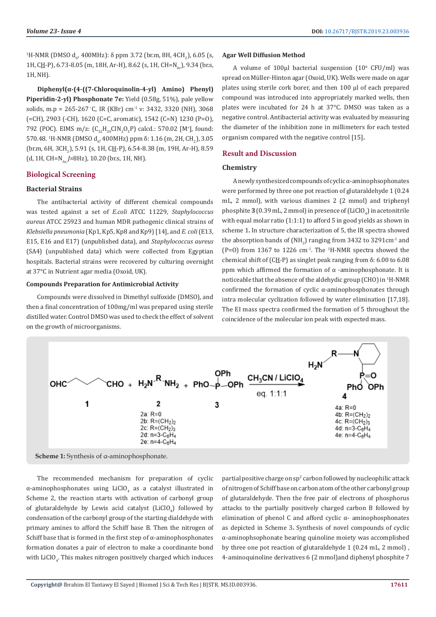<sup>1</sup>H-NMR (DMSO d<sub>6</sub>, 400MHz): δ ppm 3.72 (br.m, 8H, 4CH<sub>2</sub>), 6.05 (s, 1H, CH-P), 6.73-8.05 (m, 18H, Ar-H), 8.62 (s, 1H, CH=N<sub>a</sub>), 9.34 (br.s, 1H, NH).

**Diphenyl(α-(4-((7-Chloroquinolin-4-yl) Amino) Phenyl) Piperidin-2-yl) Phosphonate 7e:** Yield (0.58g, 51%), pale yellow solids, m.p = 265-267 °C, IR (KBr) cm<sup>-1</sup> v: 3432, 3320 (NH), 3068 (=CH), 2903 (-CH), 1620 (C=C, aromatic), 1542 (C=N), 1230 (P=O), 792 (POC). EIMS m/z:  $(C_{32}H_{29}CIN_3O_3P)$  calcd.: 570.02 [M<sup>+</sup>], found: 570.48. <sup>1</sup>H-NMR (DMSO d<sub>6</sub>, 400MHz) ppm δ: 1.16 (m, 2H, CH<sub>2</sub>), 3.05 (br.m, 6H, 3CH<sub>2</sub>), 5.91 (s, 1H, C<u>H</u>-P), 6.54-8.38 (m, 19H, Ar-H), 8.59 (d, 1H, CH=N<sub>Ar</sub> *J*=8Hz), 10.20 (br.s, 1H, NH).

# **Biological Screening**

# **Bacterial Strains**

The antibacterial activity of different chemical compounds was tested against a set of *E.coli* ATCC 11229*, Staphylococcus aureus* ATCC 25923 and human MDR pathogenic clinical strains of *Klebsiella pneumonia* (Kp1, Kp5, Kp8 and Kp9)[14], and *E. coli* (E13, E15, E16 and E17) (unpublished data), and *Staphylococcus aureus* (SA4) (unpublished data) which were collected from Egyptian hospitals. Bacterial strains were recovered by culturing overnight at 37°C in Nutrient agar media (Oxoid, UK).

# **Compounds Preparation for Antimicrobial Activity**

Compounds were dissolved in Dimethyl sulfoxide (DMSO), and then a final concentration of 100mg/ml was prepared using sterile distilled water. Control DMSO was used to check the effect of solvent on the growth of microorganisms.

#### **Agar Well Diffusion Method**

A volume of 100μl bacterial suspension  $(10<sup>6</sup>$  CFU/ml) was spread on Müller-Hinton agar (Oxoid, UK). Wells were made on agar plates using sterile cork borer, and then 100 μl of each prepared compound was introduced into appropriately marked wells, then plates were incubated for 24 h at 37°C. DMSO was taken as a negative control. Antibacterial activity was evaluated by measuring the diameter of the inhibition zone in millimeters for each tested organism compared with the negative control [15]**.** 

# **Result and Discussion**

#### **Chemistry**

A newly synthesized compounds of cyclic α-aminophsophonates were performed by three one pot reaction of glutaraldehyde 1 (0.24 mL, 2 mmol), with various diamines 2 (2 mmol) and triphenyl phosphite  $3$  (0.39 mL, 2 mmol) in presence of (LiClO<sub>4</sub>) in acetonitrile with equal molar ratio (1:1:1) to afford 5 in good yields as shown in scheme 1**.** In structure characterization of 5, the IR spectra showed the absorption bands of (NH<sub>2</sub>) ranging from 3432 to 3291 cm<sup>-1</sup> and  $(P=0)$  from 1367 to 1226 cm<sup>-1</sup>. The <sup>1</sup>H-NMR spectra showed the chemical shift of  $(C_H - P)$  as singlet peak ranging from  $\delta$ : 6.00 to 6.08 ppm which affirmed the formation of  $\alpha$  -aminophosphonate. It is noticeable that the absence of the aldehydic group (CHO) in <sup>1</sup>H-NMR confirmed the formation of cyclic  $\alpha$ -aminophosphonates through intra molecular cyclization followed by water elimination [17,18]. The EI mass spectra confirmed the formation of 5 throughout the coincidence of the molecular ion peak with expected mass.



The recommended mechanism for preparation of cyclic  $\alpha$ -aminophosphonates using LiClO<sub>4</sub> as a catalyst illustrated in Scheme 2, the reaction starts with activation of carbonyl group of glutaraldehyde by Lewis acid catalyst  $(LicIO<sub>4</sub>)$  followed by condensation of the carbonyl group of the starting dialdehyde with primary amines to afford the Schiff base B. Then the nitrogen of Schiff base that is formed in the first step of  $\alpha$ -aminophosphonates formation donates a pair of electron to make a coordinante bond with  $LIClO<sub>4</sub>$ . This makes nitrogen positively charged which induces  $partial$  positive charge on  $sp^2$  carbon followed by nucleophilic attack of nitrogen of Schiff base on carbon atom of the other carbonyl group of glutaraldehyde. Then the free pair of electrons of phosphorus attacks to the partially positively charged carbon B followed by elimination of phenol C and afford cyclic  $\alpha$ - aminophosphonates as depicted in Scheme 3**.** Synthesis of novel compounds of cyclic α-aminophsophonate bearing quinoline moiety was accomplished by three one pot reaction of glutaraldehyde 1 (0.24 mL, 2 mmol) , 4-aminoquinoline derivatives 6 (2 mmol)and diphenyl phosphite 7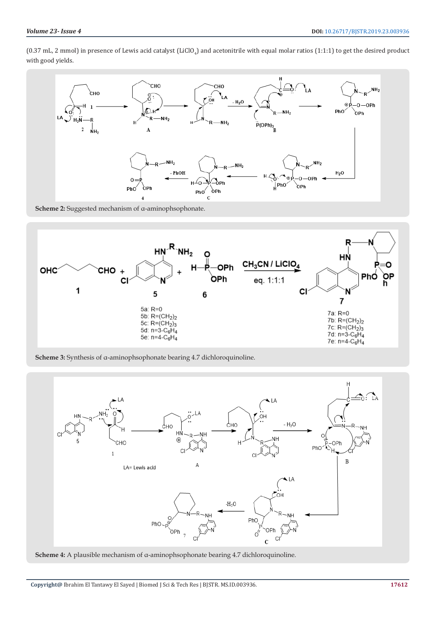(0.37 mL, 2 mmol) in presence of Lewis acid catalyst (LiClO<sub>4</sub>) and acetonitrile with equal molar ratios (1:1:1) to get the desired product with good yields.



**Scheme 2:** Suggested mechanism of α-aminophsophonate.



**Scheme 3:** Synthesis of α-aminophsophonate bearing 4.7 dichloroquinoline.



**Scheme 4:** A plausible mechanism of α-aminophsophonate bearing 4.7 dichloroquinoline.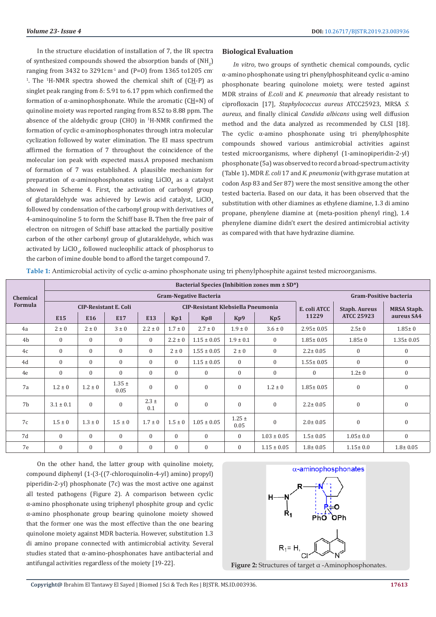In the structure elucidation of installation of 7, the IR spectra of synthesized compounds showed the absorption bands of  $(\text{NH}_2)$ ranging from 3432 to 3291cm<sup>-1</sup> and (P=0) from 1365 to1205 cm<sup>-</sup> <sup>1</sup>. The <sup>1</sup>H-NMR spectra showed the chemical shift of  $(CH-P)$  as singlet peak ranging from  $\delta$ : 5.91 to 6.17 ppm which confirmed the formation of  $\alpha$ -aminophosphonate. While the aromatic (CH=N) of quinoline moiety was reported ranging from 8.52 to 8.88 ppm. The absence of the aldehydic group (CHO) in  $H-MMR$  confirmed the formation of cyclic α-aminophosphonates through intra molecular cyclization followed by water elimination. The EI mass spectrum affirmed the formation of 7 throughout the coincidence of the molecular ion peak with expected mass.A proposed mechanism of formation of 7 was established. A plausible mechanism for preparation of α-aminophosphonates using  $LiClO<sub>4</sub>$  as a catalyst showed in Scheme 4. First, the activation of carbonyl group of glutaraldehyde was achieved by Lewis acid catalyst, LiClO. followed by condensation of the carbonyl group with derivatives of 4-aminoquinoline 5 to form the Schiff base B**.** Then the free pair of electron on nitrogen of Schiff base attacked the partially positive carbon of the other carbonyl group of glutaraldehyde, which was activated by  $LiClO_{4'}$  followed nucleophilic attack of phosphorus to the carbon of imine double bond to afford the target compound 7.

### **Biological Evaluation**

*In vitro*, two groups of synthetic chemical compounds, cyclic α-amino phosphonate using tri phenylphosphiteand cyclic α-amino phosphonate bearing quinolone moiety, were tested against MDR strains of *E.coli* and *K. pneumonia* that already resistant to ciprofloxacin [17], *Staphylococcus aureus* ATCC25923, MRSA *S. aureus*, and finally clinical *Candida albicans* using well diffusion method and the data analyzed as recommended by CLSI [18]. The cyclic  $\alpha$ -amino phosphonate using tri phenylphosphite compounds showed various antimicrobial activities against tested microorganisms, where diphenyl (1-aminopiperidin-2-yl) phosphonate (5a) was observed to record a broad-spectrum activity (Table 1)**.** MDR *E. coli* 17 and *K. pneumonia* (with gyrase mutation at codon Asp 83 and Ser 87) were the most sensitive among the other tested bacteria. Based on our data, it has been observed that the substitution with other diamines as ethylene diamine, 1.3 di amino propane, phenylene diamine at (meta-position phenyl ring), 1.4 phenylene diamine didn't exert the desired antimicrobial activity as compared with that have hydrazine diamine.

**Table 1:** Antimicrobial activity of cyclic α-amino phosphonate using tri phenylphosphite against tested microorganisms.

|                     | Bacterial Species (Inhibition zones mm ± SD*) |                |                    |                                           |                  |                 |                    |                 |                 |                               |                    |  |
|---------------------|-----------------------------------------------|----------------|--------------------|-------------------------------------------|------------------|-----------------|--------------------|-----------------|-----------------|-------------------------------|--------------------|--|
| Chemical<br>Formula | <b>Gram-Negative Bacteria</b>                 |                |                    |                                           |                  |                 |                    |                 |                 | <b>Gram-Positive bacteria</b> |                    |  |
|                     | <b>CIP-Resistant E. Coli</b>                  |                |                    | <b>CIP-Resistant Klebsiella Pneumonia</b> |                  |                 |                    |                 | E. coli ATCC    | <b>Staph. Aureus</b>          | <b>MRSA Staph.</b> |  |
|                     | E15                                           | E16            | E17                | E13                                       | Kp1              | Kp8             | Kp9                | Kp5             | 11229           | <b>ATCC 25923</b>             | aureus SA4         |  |
| 4a                  | $2 \pm 0$                                     | $2 \pm 0$      | $3 \pm 0$          | $2.2 \pm 0$                               | $1.7 \pm 0$      | $2.7 \pm 0$     | $1.9 \pm 0$        | $3.6 \pm 0$     | $2.95 \pm 0.05$ | $2.5 \pm 0$                   | $1.85 \pm 0$       |  |
| 4 <sub>b</sub>      | $\Omega$                                      | $\Omega$       | $\mathbf{0}$       | $\Omega$                                  | $2.2 \pm 0$      | $1.15 \pm 0.05$ | $1.9 \pm 0.1$      | $\Omega$        | $1.85 \pm 0.05$ | $1.85 \pm 0$                  | $1.35 \pm 0.05$    |  |
| 4c                  | $\mathbf{0}$                                  | $\overline{0}$ | $\mathbf{0}$       | $\mathbf{0}$                              | $2 \pm 0$        | $1.55 \pm 0.05$ | $2 \pm 0$          | $\mathbf{0}$    | $2.2 \pm 0.05$  | $\boldsymbol{0}$              | $\boldsymbol{0}$   |  |
| 4d                  | $\mathbf{0}$                                  | $\theta$       | $\mathbf{0}$       | $\Omega$                                  | $\mathbf{0}$     | $1.15 \pm 0.05$ | $\Omega$           | $\mathbf{0}$    | $1.55 \pm 0.05$ | $\mathbf{0}$                  | $\mathbf{0}$       |  |
| 4e                  | $\mathbf{0}$                                  | $\Omega$       | $\mathbf{0}$       | $\Omega$                                  | $\Omega$         | $\mathbf{0}$    | $\mathbf{0}$       | $\mathbf{0}$    | $\mathbf{0}$    | $1.2 \pm 0$                   | $\mathbf{0}$       |  |
| 7a                  | $1.2 \pm 0$                                   | $1.2 \pm 0$    | $1.35 \pm$<br>0.05 | $\Omega$                                  | $\Omega$         | $\overline{0}$  | $\mathbf{0}$       | $1.2 \pm 0$     | $1.85 \pm 0.05$ | $\mathbf{0}$                  | $\Omega$           |  |
| 7 <sub>b</sub>      | $3.1 \pm 0.1$                                 | $\Omega$       | $\bf{0}$           | $2.3 \pm$<br>0.1                          | $\boldsymbol{0}$ | $\mathbf{0}$    | $\mathbf{0}$       | $\mathbf{0}$    | $2.2 \pm 0.05$  | $\boldsymbol{0}$              | $\mathbf{0}$       |  |
| 7c                  | $1.5 \pm 0$                                   | $1.3 \pm 0$    | $1.5 \pm 0$        | $1.7 \pm 0$                               | $1.5 \pm 0$      | $1.05 \pm 0.05$ | $1.25 \pm$<br>0.05 | $\mathbf{0}$    | $2.0 \pm 0.05$  | $\mathbf{0}$                  | $\mathbf{0}$       |  |
| 7d                  | $\Omega$                                      | $\theta$       | $\Omega$           | $\Omega$                                  | $\Omega$         | $\Omega$        | $\Omega$           | $1.03 \pm 0.05$ | $1.5 \pm 0.05$  | $1.05 \pm 0.0$                | $\Omega$           |  |
| 7e                  | $\mathbf{0}$                                  | $\Omega$       | $\mathbf{0}$       | $\mathbf{0}$                              | $\Omega$         | $\mathbf{0}$    | $\mathbf{0}$       | $1.15 \pm 0.05$ | $1.8 \pm 0.05$  | $1.15 \pm 0.0$                | $1.8 \pm 0.05$     |  |

On the other hand, the latter group with quinoline moiety, compound diphenyl (1-(3-((7-chloroquinolin-4-yl) amino) propyl) piperidin-2-yl) phosphonate (7c) was the most active one against all tested pathogens (Figure 2). A comparison between cyclic α-amino phosphonate using triphenyl phosphite group and cyclic α-amino phosphonate group bearing quinolone moiety showed that the former one was the most effective than the one bearing quinolone moiety against MDR bacteria. However, substitution 1.3 di amino propane connected with antimicrobial activity. Several studies stated that α-amino-phosphonates have antibacterial and antifungal activities regardless of the moiety [19-22]. **Figure 2:** Structures of target α -Aminophosphonates.